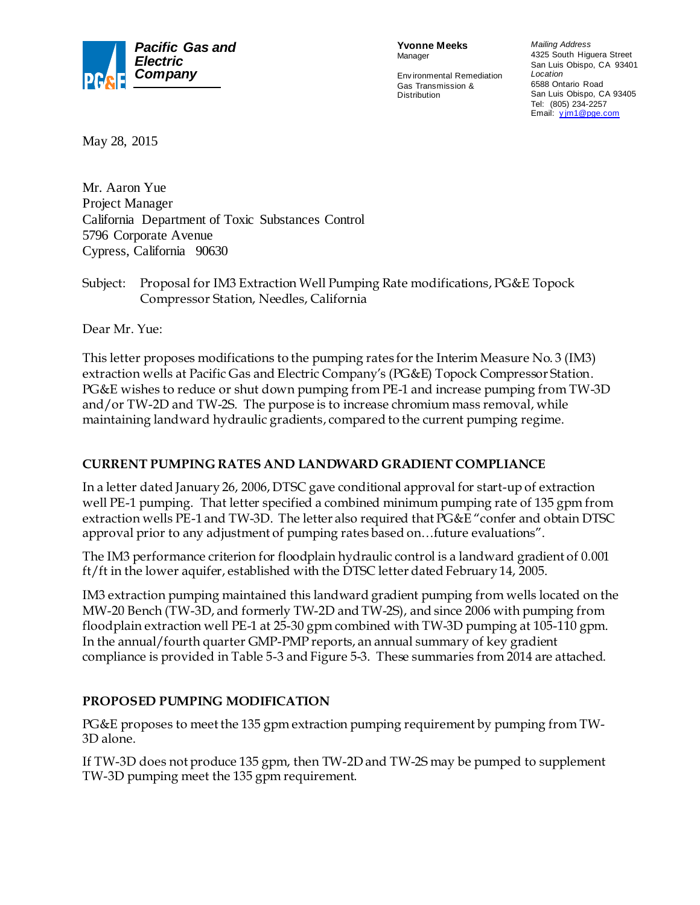

**Yvonne Meeks** Manager

Env ironmental Remediation Gas Transmission & **Distribution** 

*Mailing Address* 4325 South Higuera Street San Luis Obispo, CA 93401 *Location* 6588 Ontario Road San Luis Obispo, CA 93405 Tel: (805) 234-2257 Email: *y* jm1@pge.com

May 28, 2015

Mr. Aaron Yue Project Manager California Department of Toxic Substances Control 5796 Corporate Avenue Cypress, California 90630

Subject: Proposal for IM3 Extraction Well Pumping Rate modifications, PG&E Topock Compressor Station, Needles, California

Dear Mr. Yue:

This letter proposes modifications to the pumping rates for the Interim Measure No. 3 (IM3) extraction wells at Pacific Gas and Electric Company's (PG&E) Topock Compressor Station. PG&E wishes to reduce or shut down pumping from PE-1 and increase pumping from TW-3D and/or TW-2D and TW-2S. The purpose is to increase chromium mass removal, while maintaining landward hydraulic gradients, compared to the current pumping regime.

## **CURRENT PUMPING RATES AND LANDWARD GRADIENT COMPLIANCE**

In a letter dated January 26, 2006, DTSC gave conditional approval for start-up of extraction well PE-1 pumping. That letter specified a combined minimum pumping rate of 135 gpm from extraction wells PE-1 and TW-3D. The letter also required that PG&E "confer and obtain DTSC approval prior to any adjustment of pumping rates based on…future evaluations".

The IM3 performance criterion for floodplain hydraulic control is a landward gradient of 0.001 ft/ft in the lower aquifer, established with the DTSC letter dated February 14, 2005.

IM3 extraction pumping maintained this landward gradient pumping from wells located on the MW-20 Bench (TW-3D, and formerly TW-2D and TW-2S), and since 2006 with pumping from floodplain extraction well PE-1 at 25-30 gpm combined with TW-3D pumping at 105-110 gpm. In the annual/fourth quarter GMP-PMP reports, an annual summary of key gradient compliance is provided in Table 5-3 and Figure 5-3. These summaries from 2014 are attached.

## **PROPOSED PUMPING MODIFICATION**

PG&E proposes to meet the 135 gpm extraction pumping requirement by pumping from TW-3D alone.

If TW-3D does not produce 135 gpm, then TW-2D and TW-2S may be pumped to supplement TW-3D pumping meet the 135 gpm requirement.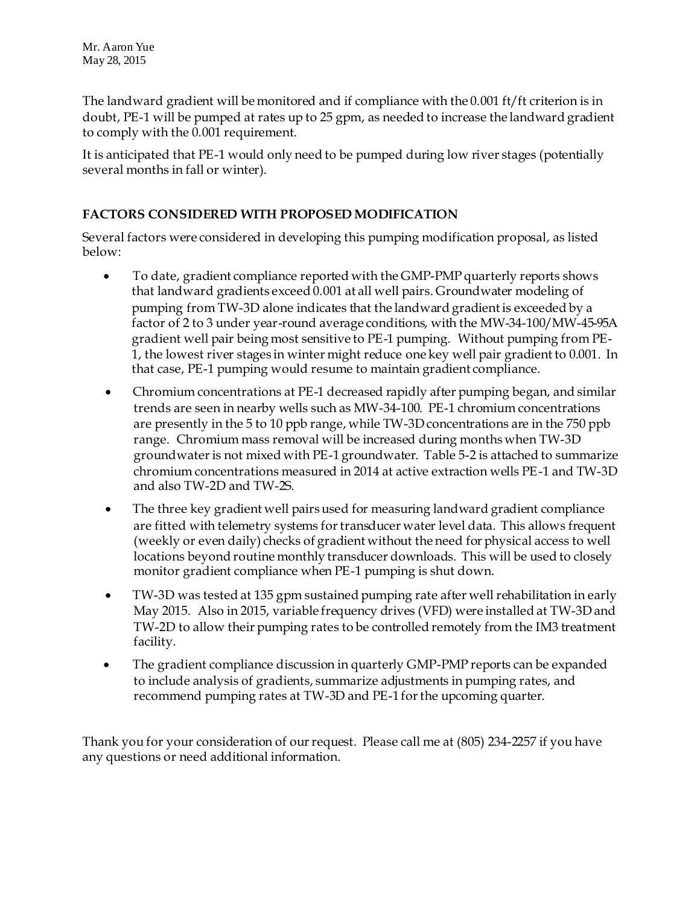The landward gradient will be monitored and if compliance with the 0.001 ft/ft criterion is in doubt, PE-1 will be pumped at rates up to 25 gpm, as needed to increase the landward gradient to comply with the 0.001 requirement.

It is anticipated that PE-1 would only need to be pumped during low river stages (potentially several months in fall or winter).

## **FACTORS CONSIDERED WITH PROPOSED MODIFICATION**

Several factors were considered in developing this pumping modification proposal, as listed below:

- To date, gradient compliance reported with the GMP-PMP quarterly reports shows that landward gradients exceed 0.001 at all well pairs. Groundwater modeling of pumping from TW-3D alone indicates that the landward gradient is exceeded by a factor of 2 to 3 under year-round average conditions, with the MW-34-100/MW-45-95A gradient well pair being most sensitive to PE-1 pumping. Without pumping from PE-1, the lowest river stages in winter might reduce one key well pair gradient to 0.001. In that case, PE-1 pumping would resume to maintain gradient compliance.
- Chromium concentrations at PE-1 decreased rapidly after pumping began, and similar trends are seen in nearby wells such as MW-34-100. PE-1 chromium concentrations are presently in the 5 to 10 ppb range, while TW-3D concentrations are in the 750 ppb range. Chromium mass removal will be increased during months when TW-3D groundwater is not mixed with PE-1 groundwater. Table 5-2 is attached to summarize chromium concentrations measured in 2014 at active extraction wells PE-1 and TW-3D and also TW-2D and TW-2S.
- The three key gradient well pairs used for measuring landward gradient compliance are fitted with telemetry systems for transducer water level data. This allows frequent (weekly or even daily) checks of gradient without the need for physical access to well locations beyond routine monthly transducer downloads. This will be used to closely monitor gradient compliance when PE-1 pumping is shut down.
- TW-3D was tested at 135 gpm sustained pumping rate after well rehabilitation in early May 2015. Also in 2015, variable frequency drives (VFD) were installed at TW-3D and TW-2D to allow their pumping rates to be controlled remotely from the IM3 treatment facility.
- The gradient compliance discussion in quarterly GMP-PMP reports can be expanded to include analysis of gradients, summarize adjustments in pumping rates, and recommend pumping rates at TW-3D and PE-1 for the upcoming quarter.

Thank you for your consideration of our request. Please call me at (805) 234-2257 if you have any questions or need additional information.